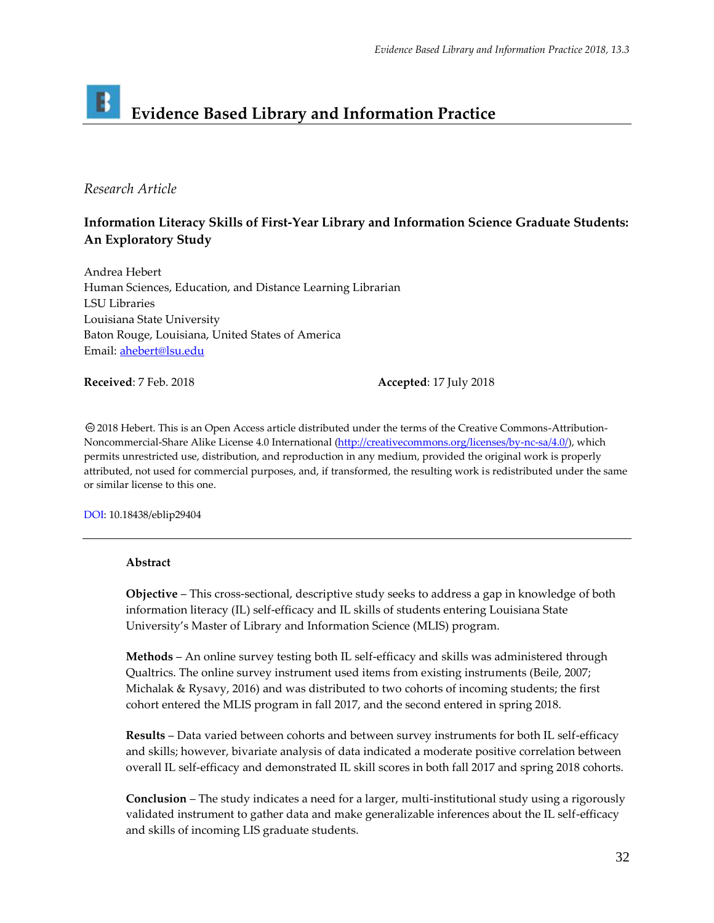# **Evidence Based Library and Information Practice**

# *Research Article*

# **Information Literacy Skills of First-Year Library and Information Science Graduate Students: An Exploratory Study**

Andrea Hebert Human Sciences, Education, and Distance Learning Librarian LSU Libraries Louisiana State University Baton Rouge, Louisiana, United States of America Email: [ahebert@lsu.edu](mailto:ahebert@lsu.edu)

**Received**: 7 Feb. 2018 **Accepted**: 17 July 2018

2018 Hebert. This is an Open Access article distributed under the terms of the Creative Commons‐Attribution‐ Noncommercial-Share Alike License 4.0 International [\(http://creativecommons.org/licenses/by-nc-sa/4.0/\)](http://creativecommons.org/licenses/by-nc-sa/4.0/), which permits unrestricted use, distribution, and reproduction in any medium, provided the original work is properly attributed, not used for commercial purposes, and, if transformed, the resulting work is redistributed under the same or similar license to this one.

DOI: 10.18438/eblip29404

## **Abstract**

**Objective** – This cross-sectional, descriptive study seeks to address a gap in knowledge of both information literacy (IL) self-efficacy and IL skills of students entering Louisiana State University's Master of Library and Information Science (MLIS) program.

**Methods** – An online survey testing both IL self-efficacy and skills was administered through Qualtrics. The online survey instrument used items from existing instruments (Beile, 2007; Michalak & Rysavy, 2016) and was distributed to two cohorts of incoming students; the first cohort entered the MLIS program in fall 2017, and the second entered in spring 2018.

**Results** – Data varied between cohorts and between survey instruments for both IL self-efficacy and skills; however, bivariate analysis of data indicated a moderate positive correlation between overall IL self-efficacy and demonstrated IL skill scores in both fall 2017 and spring 2018 cohorts.

**Conclusion** – The study indicates a need for a larger, multi-institutional study using a rigorously validated instrument to gather data and make generalizable inferences about the IL self-efficacy and skills of incoming LIS graduate students.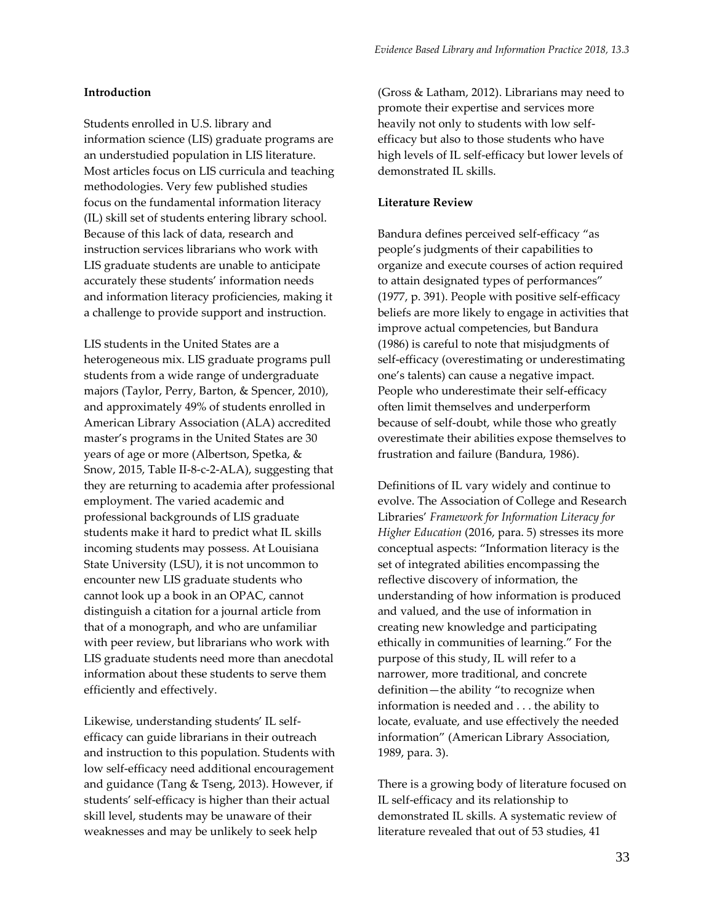#### **Introduction**

Students enrolled in U.S. library and information science (LIS) graduate programs are an understudied population in LIS literature. Most articles focus on LIS curricula and teaching methodologies. Very few published studies focus on the fundamental information literacy (IL) skill set of students entering library school. Because of this lack of data, research and instruction services librarians who work with LIS graduate students are unable to anticipate accurately these students' information needs and information literacy proficiencies, making it a challenge to provide support and instruction.

LIS students in the United States are a heterogeneous mix. LIS graduate programs pull students from a wide range of undergraduate majors (Taylor, Perry, Barton, & Spencer, 2010), and approximately 49% of students enrolled in American Library Association (ALA) accredited master's programs in the United States are 30 years of age or more (Albertson, Spetka, & Snow, 2015, Table II-8-c-2-ALA), suggesting that they are returning to academia after professional employment. The varied academic and professional backgrounds of LIS graduate students make it hard to predict what IL skills incoming students may possess. At Louisiana State University (LSU), it is not uncommon to encounter new LIS graduate students who cannot look up a book in an OPAC, cannot distinguish a citation for a journal article from that of a monograph, and who are unfamiliar with peer review, but librarians who work with LIS graduate students need more than anecdotal information about these students to serve them efficiently and effectively.

Likewise, understanding students' IL selfefficacy can guide librarians in their outreach and instruction to this population. Students with low self-efficacy need additional encouragement and guidance (Tang & Tseng, 2013). However, if students' self-efficacy is higher than their actual skill level, students may be unaware of their weaknesses and may be unlikely to seek help

(Gross & Latham, 2012). Librarians may need to promote their expertise and services more heavily not only to students with low selfefficacy but also to those students who have high levels of IL self-efficacy but lower levels of demonstrated IL skills.

#### **Literature Review**

Bandura defines perceived self-efficacy "as people's judgments of their capabilities to organize and execute courses of action required to attain designated types of performances" (1977, p. 391). People with positive self-efficacy beliefs are more likely to engage in activities that improve actual competencies, but Bandura (1986) is careful to note that misjudgments of self-efficacy (overestimating or underestimating one's talents) can cause a negative impact. People who underestimate their self-efficacy often limit themselves and underperform because of self-doubt, while those who greatly overestimate their abilities expose themselves to frustration and failure (Bandura, 1986).

Definitions of IL vary widely and continue to evolve. The Association of College and Research Libraries' *Framework for Information Literacy for Higher Education* (2016, para. 5) stresses its more conceptual aspects: "Information literacy is the set of integrated abilities encompassing the reflective discovery of information, the understanding of how information is produced and valued, and the use of information in creating new knowledge and participating ethically in communities of learning." For the purpose of this study, IL will refer to a narrower, more traditional, and concrete definition—the ability "to recognize when information is needed and . . . the ability to locate, evaluate, and use effectively the needed information" (American Library Association, 1989, para. 3).

There is a growing body of literature focused on IL self-efficacy and its relationship to demonstrated IL skills. A systematic review of literature revealed that out of 53 studies, 41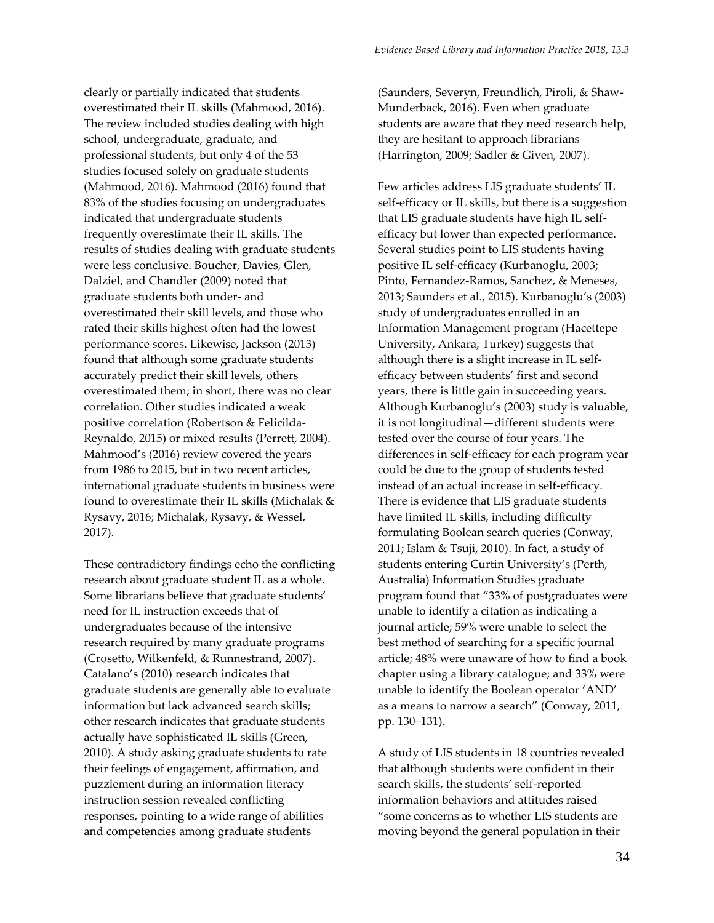clearly or partially indicated that students overestimated their IL skills (Mahmood, 2016). The review included studies dealing with high school, undergraduate, graduate, and professional students, but only 4 of the 53 studies focused solely on graduate students (Mahmood, 2016). Mahmood (2016) found that 83% of the studies focusing on undergraduates indicated that undergraduate students frequently overestimate their IL skills. The results of studies dealing with graduate students were less conclusive. Boucher, Davies, Glen, Dalziel, and Chandler (2009) noted that graduate students both under- and overestimated their skill levels, and those who rated their skills highest often had the lowest performance scores. Likewise, Jackson (2013) found that although some graduate students accurately predict their skill levels, others overestimated them; in short, there was no clear correlation. Other studies indicated a weak positive correlation (Robertson & Felicilda-Reynaldo, 2015) or mixed results (Perrett, 2004). Mahmood's (2016) review covered the years from 1986 to 2015, but in two recent articles, international graduate students in business were found to overestimate their IL skills (Michalak & Rysavy, 2016; Michalak, Rysavy, & Wessel, 2017).

These contradictory findings echo the conflicting research about graduate student IL as a whole. Some librarians believe that graduate students' need for IL instruction exceeds that of undergraduates because of the intensive research required by many graduate programs (Crosetto, Wilkenfeld, & Runnestrand, 2007). Catalano's (2010) research indicates that graduate students are generally able to evaluate information but lack advanced search skills; other research indicates that graduate students actually have sophisticated IL skills (Green, 2010). A study asking graduate students to rate their feelings of engagement, affirmation, and puzzlement during an information literacy instruction session revealed conflicting responses, pointing to a wide range of abilities and competencies among graduate students

(Saunders, Severyn, Freundlich, Piroli, & Shaw-Munderback, 2016). Even when graduate students are aware that they need research help, they are hesitant to approach librarians (Harrington, 2009; Sadler & Given, 2007).

Few articles address LIS graduate students' IL self-efficacy or IL skills, but there is a suggestion that LIS graduate students have high IL selfefficacy but lower than expected performance. Several studies point to LIS students having positive IL self-efficacy (Kurbanoglu, 2003; Pinto, Fernandez-Ramos, Sanchez, & Meneses, 2013; Saunders et al., 2015). Kurbanoglu's (2003) study of undergraduates enrolled in an Information Management program (Hacettepe University, Ankara, Turkey) suggests that although there is a slight increase in IL selfefficacy between students' first and second years, there is little gain in succeeding years. Although Kurbanoglu's (2003) study is valuable, it is not longitudinal—different students were tested over the course of four years. The differences in self-efficacy for each program year could be due to the group of students tested instead of an actual increase in self-efficacy. There is evidence that LIS graduate students have limited IL skills, including difficulty formulating Boolean search queries (Conway, 2011; Islam & Tsuji, 2010). In fact, a study of students entering Curtin University's (Perth, Australia) Information Studies graduate program found that "33% of postgraduates were unable to identify a citation as indicating a journal article; 59% were unable to select the best method of searching for a specific journal article; 48% were unaware of how to find a book chapter using a library catalogue; and 33% were unable to identify the Boolean operator 'AND' as a means to narrow a search" (Conway, 2011, pp. 130–131).

A study of LIS students in 18 countries revealed that although students were confident in their search skills, the students' self-reported information behaviors and attitudes raised "some concerns as to whether LIS students are moving beyond the general population in their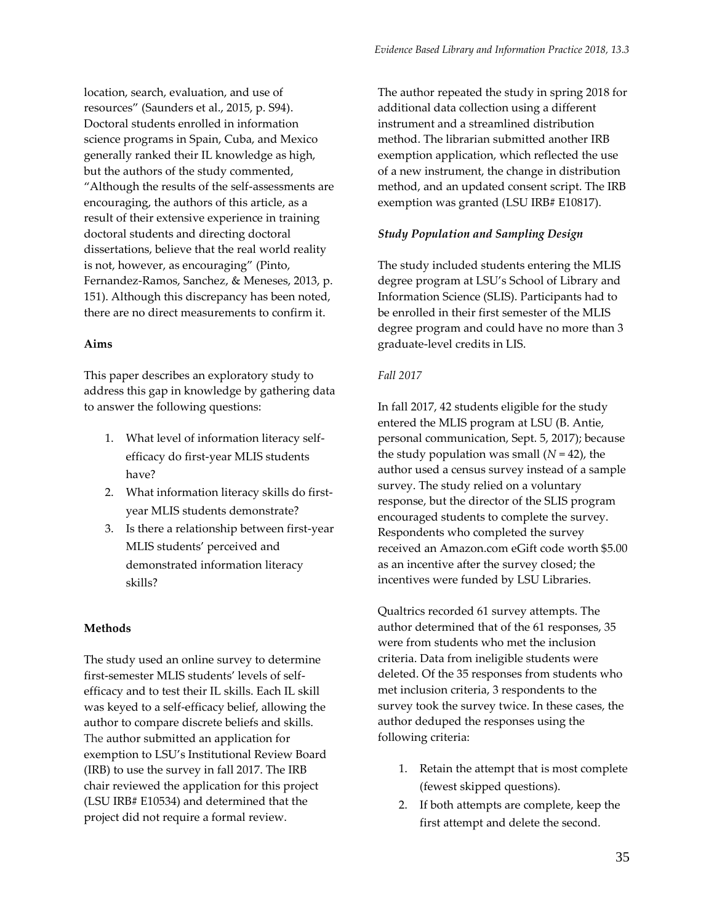location, search, evaluation, and use of resources" (Saunders et al., 2015, p. S94). Doctoral students enrolled in information science programs in Spain, Cuba, and Mexico generally ranked their IL knowledge as high, but the authors of the study commented, "Although the results of the self-assessments are encouraging, the authors of this article, as a result of their extensive experience in training doctoral students and directing doctoral dissertations, believe that the real world reality is not, however, as encouraging" (Pinto, Fernandez-Ramos, Sanchez, & Meneses, 2013, p. 151). Although this discrepancy has been noted, there are no direct measurements to confirm it.

## **Aims**

This paper describes an exploratory study to address this gap in knowledge by gathering data to answer the following questions:

- 1. What level of information literacy selfefficacy do first-year MLIS students have?
- 2. What information literacy skills do firstyear MLIS students demonstrate?
- 3. Is there a relationship between first-year MLIS students' perceived and demonstrated information literacy skills?

## **Methods**

The study used an online survey to determine first-semester MLIS students' levels of selfefficacy and to test their IL skills. Each IL skill was keyed to a self-efficacy belief, allowing the author to compare discrete beliefs and skills. The author submitted an application for exemption to LSU's Institutional Review Board (IRB) to use the survey in fall 2017. The IRB chair reviewed the application for this project (LSU IRB# E10534) and determined that the project did not require a formal review.

The author repeated the study in spring 2018 for additional data collection using a different instrument and a streamlined distribution method. The librarian submitted another IRB exemption application, which reflected the use of a new instrument, the change in distribution method, and an updated consent script. The IRB exemption was granted (LSU IRB# E10817).

## *Study Population and Sampling Design*

The study included students entering the MLIS degree program at LSU's School of Library and Information Science (SLIS). Participants had to be enrolled in their first semester of the MLIS degree program and could have no more than 3 graduate-level credits in LIS.

#### *Fall 2017*

In fall 2017, 42 students eligible for the study entered the MLIS program at LSU (B. Antie, personal communication, Sept. 5, 2017); because the study population was small  $(N = 42)$ , the author used a census survey instead of a sample survey. The study relied on a voluntary response, but the director of the SLIS program encouraged students to complete the survey. Respondents who completed the survey received an Amazon.com eGift code worth \$5.00 as an incentive after the survey closed; the incentives were funded by LSU Libraries.

Qualtrics recorded 61 survey attempts. The author determined that of the 61 responses, 35 were from students who met the inclusion criteria. Data from ineligible students were deleted. Of the 35 responses from students who met inclusion criteria, 3 respondents to the survey took the survey twice. In these cases, the author deduped the responses using the following criteria:

- 1. Retain the attempt that is most complete (fewest skipped questions).
- 2. If both attempts are complete, keep the first attempt and delete the second.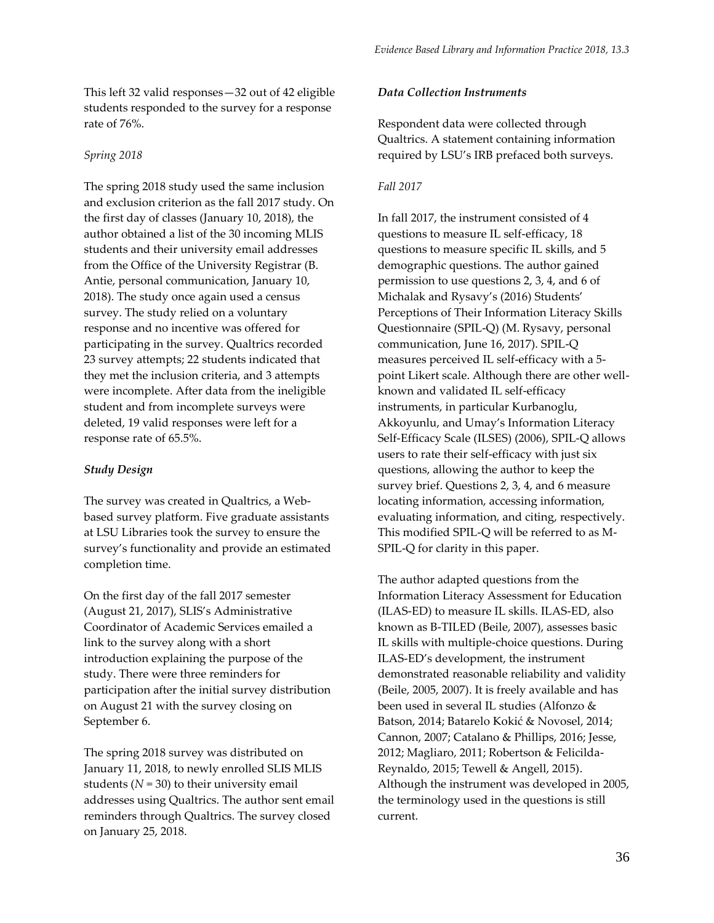This left 32 valid responses—32 out of 42 eligible students responded to the survey for a response rate of 76%.

# *Spring 2018*

The spring 2018 study used the same inclusion and exclusion criterion as the fall 2017 study. On the first day of classes (January 10, 2018), the author obtained a list of the 30 incoming MLIS students and their university email addresses from the Office of the University Registrar (B. Antie, personal communication, January 10, 2018). The study once again used a census survey. The study relied on a voluntary response and no incentive was offered for participating in the survey. Qualtrics recorded 23 survey attempts; 22 students indicated that they met the inclusion criteria, and 3 attempts were incomplete. After data from the ineligible student and from incomplete surveys were deleted, 19 valid responses were left for a response rate of 65.5%.

# *Study Design*

The survey was created in Qualtrics, a Webbased survey platform. Five graduate assistants at LSU Libraries took the survey to ensure the survey's functionality and provide an estimated completion time.

On the first day of the fall 2017 semester (August 21, 2017), SLIS's Administrative Coordinator of Academic Services emailed a link to the survey along with a short introduction explaining the purpose of the study. There were three reminders for participation after the initial survey distribution on August 21 with the survey closing on September 6.

The spring 2018 survey was distributed on January 11, 2018, to newly enrolled SLIS MLIS students  $(N = 30)$  to their university email addresses using Qualtrics. The author sent email reminders through Qualtrics. The survey closed on January 25, 2018.

# *Data Collection Instruments*

Respondent data were collected through Qualtrics. A statement containing information required by LSU's IRB prefaced both surveys.

*Evidence Based Library and Information Practice 2018, 13.3*

# *Fall 2017*

In fall 2017, the instrument consisted of 4 questions to measure IL self-efficacy, 18 questions to measure specific IL skills, and 5 demographic questions. The author gained permission to use questions 2, 3, 4, and 6 of Michalak and Rysavy's (2016) Students' Perceptions of Their Information Literacy Skills Questionnaire (SPIL-Q) (M. Rysavy, personal communication, June 16, 2017). SPIL-Q measures perceived IL self-efficacy with a 5 point Likert scale. Although there are other wellknown and validated IL self-efficacy instruments, in particular Kurbanoglu, Akkoyunlu, and Umay's Information Literacy Self-Efficacy Scale (ILSES) (2006), SPIL-Q allows users to rate their self-efficacy with just six questions, allowing the author to keep the survey brief. Questions 2, 3, 4, and 6 measure locating information, accessing information, evaluating information, and citing, respectively. This modified SPIL-Q will be referred to as M-SPIL-Q for clarity in this paper.

The author adapted questions from the Information Literacy Assessment for Education (ILAS-ED) to measure IL skills. ILAS-ED, also known as B-TILED (Beile, 2007), assesses basic IL skills with multiple-choice questions. During ILAS-ED's development, the instrument demonstrated reasonable reliability and validity (Beile, 2005, 2007). It is freely available and has been used in several IL studies (Alfonzo & Batson, 2014; Batarelo Kokić & Novosel, 2014; Cannon, 2007; Catalano & Phillips, 2016; Jesse, 2012; Magliaro, 2011; Robertson & Felicilda-Reynaldo, 2015; Tewell & Angell, 2015). Although the instrument was developed in 2005, the terminology used in the questions is still current.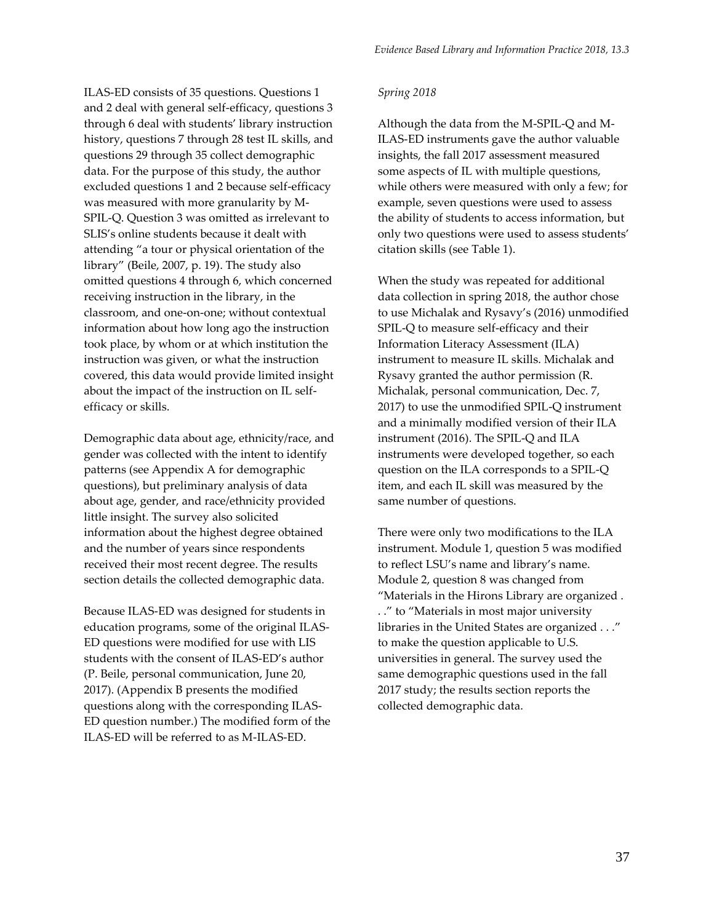ILAS-ED consists of 35 questions. Questions 1 and 2 deal with general self-efficacy, questions 3 through 6 deal with students' library instruction history, questions 7 through 28 test IL skills, and questions 29 through 35 collect demographic data. For the purpose of this study, the author excluded questions 1 and 2 because self-efficacy was measured with more granularity by M-SPIL-Q. Question 3 was omitted as irrelevant to SLIS's online students because it dealt with attending "a tour or physical orientation of the library" (Beile, 2007, p. 19). The study also omitted questions 4 through 6, which concerned receiving instruction in the library, in the classroom, and one-on-one; without contextual information about how long ago the instruction took place, by whom or at which institution the instruction was given, or what the instruction covered, this data would provide limited insight about the impact of the instruction on IL selfefficacy or skills.

Demographic data about age, ethnicity/race, and gender was collected with the intent to identify patterns (see Appendix A for demographic questions), but preliminary analysis of data about age, gender, and race/ethnicity provided little insight. The survey also solicited information about the highest degree obtained and the number of years since respondents received their most recent degree. The results section details the collected demographic data.

Because ILAS-ED was designed for students in education programs, some of the original ILAS-ED questions were modified for use with LIS students with the consent of ILAS-ED's author (P. Beile, personal communication, June 20, 2017). (Appendix B presents the modified questions along with the corresponding ILAS-ED question number.) The modified form of the ILAS-ED will be referred to as M-ILAS-ED.

#### *Spring 2018*

Although the data from the M-SPIL-Q and M-ILAS-ED instruments gave the author valuable insights, the fall 2017 assessment measured some aspects of IL with multiple questions, while others were measured with only a few; for example, seven questions were used to assess the ability of students to access information, but only two questions were used to assess students' citation skills (see Table 1).

When the study was repeated for additional data collection in spring 2018, the author chose to use Michalak and Rysavy's (2016) unmodified SPIL-Q to measure self-efficacy and their Information Literacy Assessment (ILA) instrument to measure IL skills. Michalak and Rysavy granted the author permission (R. Michalak, personal communication, Dec. 7, 2017) to use the unmodified SPIL-Q instrument and a minimally modified version of their ILA instrument (2016). The SPIL-Q and ILA instruments were developed together, so each question on the ILA corresponds to a SPIL-Q item, and each IL skill was measured by the same number of questions.

There were only two modifications to the ILA instrument. Module 1, question 5 was modified to reflect LSU's name and library's name. Module 2, question 8 was changed from "Materials in the Hirons Library are organized . . ." to "Materials in most major university libraries in the United States are organized . . ." to make the question applicable to U.S. universities in general. The survey used the same demographic questions used in the fall 2017 study; the results section reports the collected demographic data.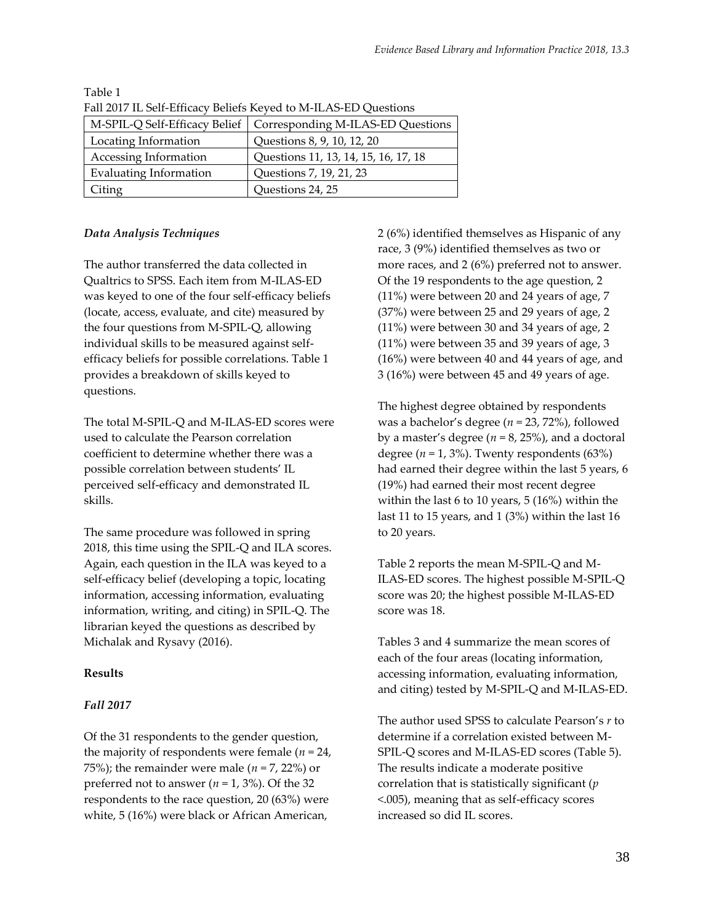| Tan 2017 TO OCH BRITCHLY DURING INCREDI IN THE ID TO QUESTIONS |                                                                   |  |  |  |
|----------------------------------------------------------------|-------------------------------------------------------------------|--|--|--|
|                                                                | M-SPIL-Q Self-Efficacy Belief   Corresponding M-ILAS-ED Questions |  |  |  |
| Locating Information                                           | Questions 8, 9, 10, 12, 20                                        |  |  |  |
| Accessing Information                                          | Questions 11, 13, 14, 15, 16, 17, 18                              |  |  |  |
| <b>Evaluating Information</b>                                  | Questions 7, 19, 21, 23                                           |  |  |  |
| Citing                                                         | Questions 24, 25                                                  |  |  |  |

Table 1 Fall 2017 IL Self-Efficacy Beliefs Keyed to M-ILAS-ED Questions

# *Data Analysis Techniques*

The author transferred the data collected in Qualtrics to SPSS. Each item from M-ILAS-ED was keyed to one of the four self-efficacy beliefs (locate, access, evaluate, and cite) measured by the four questions from M-SPIL-Q, allowing individual skills to be measured against selfefficacy beliefs for possible correlations. Table 1 provides a breakdown of skills keyed to questions.

The total M-SPIL-Q and M-ILAS-ED scores were used to calculate the Pearson correlation coefficient to determine whether there was a possible correlation between students' IL perceived self-efficacy and demonstrated IL skills.

The same procedure was followed in spring 2018, this time using the SPIL-Q and ILA scores. Again, each question in the ILA was keyed to a self-efficacy belief (developing a topic, locating information, accessing information, evaluating information, writing, and citing) in SPIL-Q. The librarian keyed the questions as described by Michalak and Rysavy (2016).

# **Results**

# *Fall 2017*

Of the 31 respondents to the gender question, the majority of respondents were female  $(n = 24)$ , 75%); the remainder were male  $(n = 7, 22)$  or preferred not to answer ( $n = 1, 3\%$ ). Of the 32 respondents to the race question, 20 (63%) were white, 5 (16%) were black or African American,

2 (6%) identified themselves as Hispanic of any race, 3 (9%) identified themselves as two or more races, and 2 (6%) preferred not to answer. Of the 19 respondents to the age question, 2 (11%) were between 20 and 24 years of age, 7 (37%) were between 25 and 29 years of age, 2 (11%) were between 30 and 34 years of age, 2 (11%) were between 35 and 39 years of age, 3 (16%) were between 40 and 44 years of age, and 3 (16%) were between 45 and 49 years of age.

The highest degree obtained by respondents was a bachelor's degree (*n* = 23, 72%), followed by a master's degree ( $n = 8$ , 25%), and a doctoral degree  $(n = 1, 3\%)$ . Twenty respondents  $(63\%)$ had earned their degree within the last 5 years, 6 (19%) had earned their most recent degree within the last 6 to 10 years, 5 (16%) within the last 11 to 15 years, and 1 (3%) within the last 16 to 20 years.

Table 2 reports the mean M-SPIL-Q and M-ILAS-ED scores. The highest possible M-SPIL-Q score was 20; the highest possible M-ILAS-ED score was 18.

Tables 3 and 4 summarize the mean scores of each of the four areas (locating information, accessing information, evaluating information, and citing) tested by M-SPIL-Q and M-ILAS-ED.

The author used SPSS to calculate Pearson's *r* to determine if a correlation existed between M-SPIL-Q scores and M-ILAS-ED scores (Table 5). The results indicate a moderate positive correlation that is statistically significant (*p* <.005), meaning that as self-efficacy scores increased so did IL scores.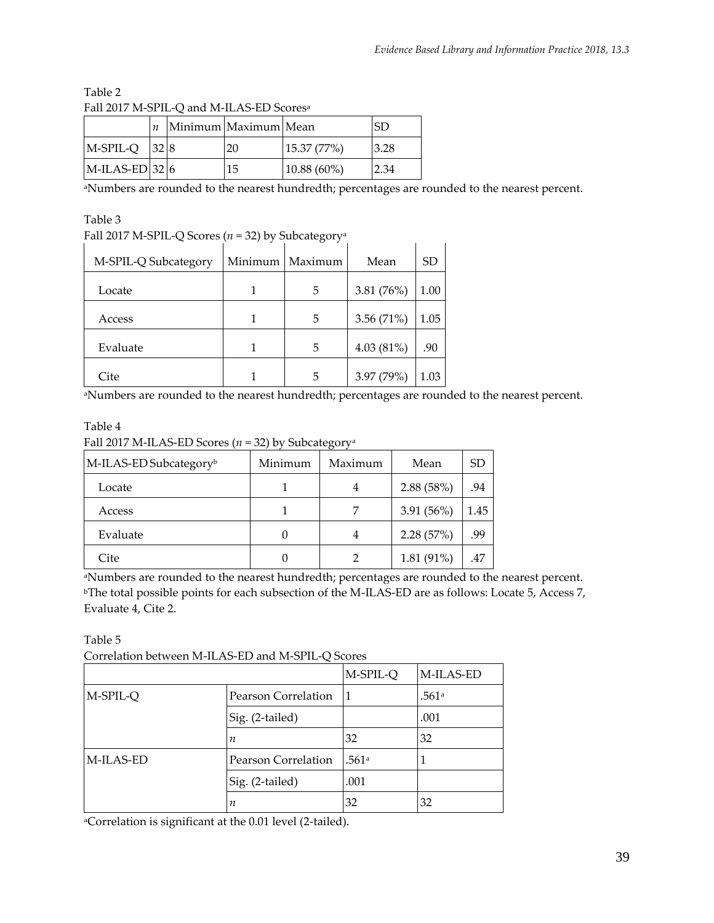| I all 2017 IVI-91 IL-O and IVI-ILITO-LD SCOICS |      |  |                          |               |      |
|------------------------------------------------|------|--|--------------------------|---------------|------|
|                                                |      |  | $n$ Minimum Maximum Mean |               | SD   |
| M-SPIL-Q                                       | 32 8 |  | 20                       | 15.37 (77%)   | 3.28 |
| $MLAS-ED$ 32 6                                 |      |  | 15                       | $10.88(60\%)$ | 2.34 |

Table 2 Fall 2017 M-SPIL-Q and M-ILAS-ED Scores<sup>a</sup>

aNumbers are rounded to the nearest hundredth; percentages are rounded to the nearest percent.

Table 3

Fall 2017 M-SPIL-Q Scores (*n* = 32) by Subcategory<sup>a</sup>

| M-SPIL-Q Subcategory | Minimum   Maximum | Mean         | SD   |
|----------------------|-------------------|--------------|------|
| Locate               | 5                 | 3.81 $(76%)$ | 1.00 |
| Access               | 5                 | 3.56 $(71%)$ | 1.05 |
| Evaluate             | 5                 | $4.03(81\%)$ | .90  |
| Cite                 | 5                 | 3.97 (79%)   | 1.03 |

<sup>a</sup>Numbers are rounded to the nearest hundredth; percentages are rounded to the nearest percent.

# Table 4 Fall 2017 M-ILAS-ED Scores (*n* = 32) by Subcategory<sup>a</sup>

| M-ILAS-ED Subcategory <sup>b</sup> | Minimum | Maximum | Mean       | SD   |
|------------------------------------|---------|---------|------------|------|
| Locate                             |         |         | 2.88(58%)  | .94  |
| Access                             |         |         | 3.91(56%)  | 1.45 |
| Evaluate                           |         |         | 2.28(57%)  | .99  |
| Cite                               |         |         | 1.81 (91%) | .47  |

<sup>a</sup>Numbers are rounded to the nearest hundredth; percentages are rounded to the nearest percent. <sup>b</sup>The total possible points for each subsection of the M-ILAS-ED are as follows: Locate 5, Access 7, Evaluate 4, Cite 2.

Table 5

Correlation between M-ILAS-ED and M-SPIL-Q Scores

|           |                     | M-SPIL-Q | M-ILAS-ED |
|-----------|---------------------|----------|-----------|
| M-SPIL-Q  | Pearson Correlation | 11       | .561ª     |
|           | Sig. (2-tailed)     |          | .001      |
|           | n                   | 32       | 32        |
| M-ILAS-ED | Pearson Correlation | .561a    |           |
|           | Sig. (2-tailed)     | .001     |           |
|           | n                   | 32       | 32        |

aCorrelation is significant at the 0.01 level (2-tailed).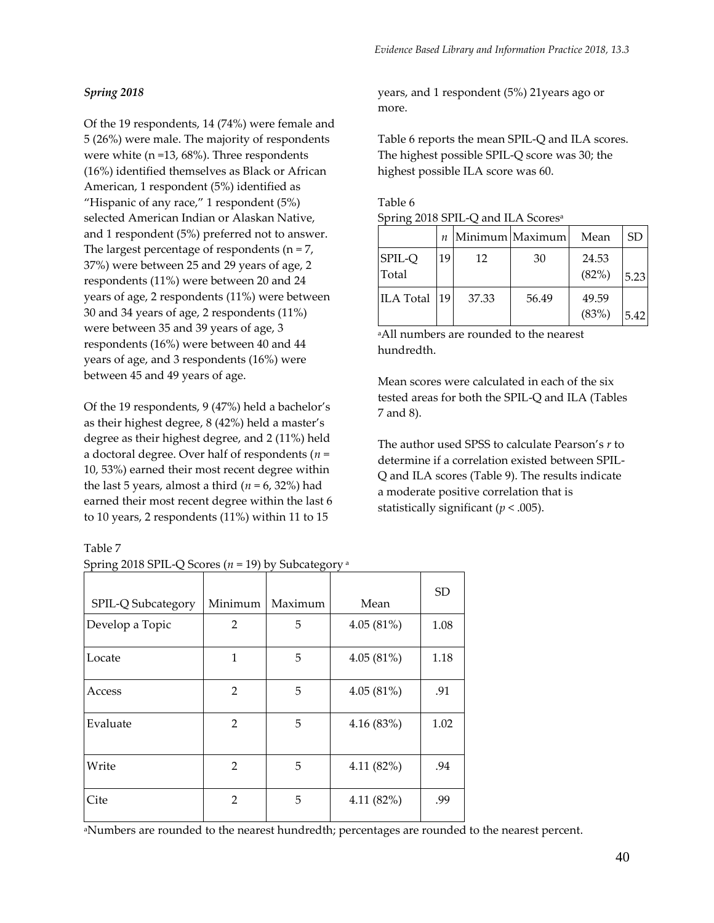# *Spring 2018*

Of the 19 respondents, 14 (74%) were female and 5 (26%) were male. The majority of respondents were white (n =13, 68%). Three respondents (16%) identified themselves as Black or African American, 1 respondent (5%) identified as "Hispanic of any race," 1 respondent  $(5\%)$ selected American Indian or Alaskan Native, and 1 respondent (5%) preferred not to answer. The largest percentage of respondents ( $n = 7$ , 37%) were between 25 and 29 years of age, 2 respondents (11%) were between 20 and 24 years of age, 2 respondents (11%) were between 30 and 34 years of age, 2 respondents (11%) were between 35 and 39 years of age, 3 respondents (16%) were between 40 and 44 years of age, and 3 respondents (16%) were between 45 and 49 years of age.

Of the 19 respondents, 9 (47%) held a bachelor's as their highest degree, 8 (42%) held a master's degree as their highest degree, and 2 (11%) held a doctoral degree. Over half of respondents (*n* = 10, 53%) earned their most recent degree within the last 5 years, almost a third ( $n = 6$ , 32%) had earned their most recent degree within the last 6 to 10 years, 2 respondents (11%) within 11 to 15

Table 7

| Spring 2018 SPIL-Q Scores ( $n = 19$ ) by Subcategory <sup>a</sup> |  |  |
|--------------------------------------------------------------------|--|--|
|--------------------------------------------------------------------|--|--|

| SPIL-Q Subcategory | Minimum        | Maximum | Mean      | <b>SD</b> |
|--------------------|----------------|---------|-----------|-----------|
| Develop a Topic    | 2              | 5       | 4.05(81%) | 1.08      |
| Locate             | 1              | 5       | 4.05(81%) | 1.18      |
| Access             | 2              | 5       | 4.05(81%) | .91       |
| Evaluate           | 2              | 5       | 4.16(83%) | 1.02      |
| Write              | 2              | 5       | 4.11(82%) | .94       |
| Cite               | $\mathfrak{D}$ | 5       | 4.11(82%) | .99       |

years, and 1 respondent (5%) 21years ago or more.

Table 6 reports the mean SPIL-Q and ILA scores. The highest possible SPIL-Q score was 30; the highest possible ILA score was 60.

| Table 6                                        |  |
|------------------------------------------------|--|
| Spring 2018 SPIL-Q and ILA Scores <sup>a</sup> |  |

|                        |    |       | $n$   Minimum   Maximum | Mean           | SD   |
|------------------------|----|-------|-------------------------|----------------|------|
| <b>SPIL-Q</b><br>Total | 19 | 12    | 30                      | 24.53<br>(82%) | 5.23 |
| ILA Total   19         |    | 37.33 | 56.49                   | 49.59<br>(83%) | 5.42 |

<sup>a</sup>All numbers are rounded to the nearest hundredth.

Mean scores were calculated in each of the six tested areas for both the SPIL-Q and ILA (Tables 7 and 8).

The author used SPSS to calculate Pearson's *r* to determine if a correlation existed between SPIL-Q and ILA scores (Table 9). The results indicate a moderate positive correlation that is statistically significant  $(p < .005)$ .

aNumbers are rounded to the nearest hundredth; percentages are rounded to the nearest percent.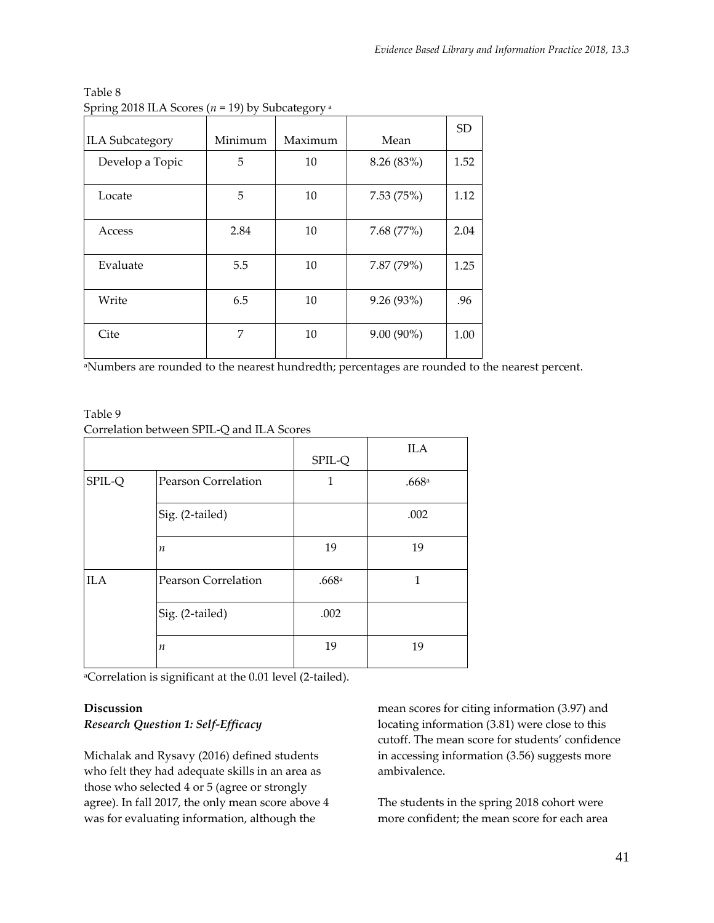| <b>ILA Subcategory</b> | Minimum | Maximum | Mean         | SD.  |
|------------------------|---------|---------|--------------|------|
| Develop a Topic        | 5       | 10      | 8.26 (83%)   | 1.52 |
| Locate                 | 5       | 10      | 7.53(75%)    | 1.12 |
| Access                 | 2.84    | 10      | 7.68(77%)    | 2.04 |
| Evaluate               | 5.5     | 10      | 7.87 (79%)   | 1.25 |
| Write                  | 6.5     | 10      | 9.26 (93%)   | .96  |
| Cite                   | 7       | 10      | $9.00(90\%)$ | 1.00 |

Table 8 Spring 2018 ILA Scores (*n* = 19) by Subcategory <sup>a</sup>

aNumbers are rounded to the nearest hundredth; percentages are rounded to the nearest percent.

# Table 9 Correlation between SPIL-Q and ILA Scores

|            |                            | SPIL-Q | <b>ILA</b> |
|------------|----------------------------|--------|------------|
| SPIL-Q     | Pearson Correlation        | 1      | .668a      |
|            | Sig. (2-tailed)            |        | .002       |
|            | п                          | 19     | 19         |
| <b>ILA</b> | <b>Pearson Correlation</b> | .668a  | 1          |
|            | Sig. (2-tailed)            | .002   |            |
|            | $\boldsymbol{n}$           | 19     | 19         |

<sup>a</sup>Correlation is significant at the 0.01 level (2-tailed).

# **Discussion** *Research Question 1: Self-Efficacy*

Michalak and Rysavy (2016) defined students who felt they had adequate skills in an area as those who selected 4 or 5 (agree or strongly agree). In fall 2017, the only mean score above 4 was for evaluating information, although the

mean scores for citing information (3.97) and locating information (3.81) were close to this cutoff. The mean score for students' confidence in accessing information (3.56) suggests more ambivalence.

The students in the spring 2018 cohort were more confident; the mean score for each area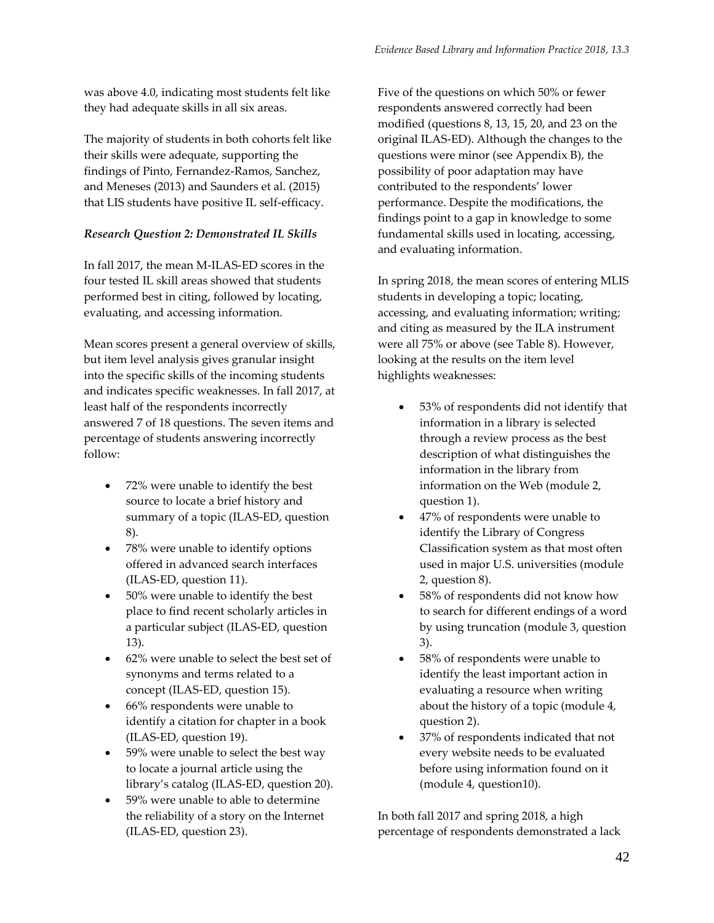was above 4.0, indicating most students felt like they had adequate skills in all six areas.

The majority of students in both cohorts felt like their skills were adequate, supporting the findings of Pinto, Fernandez-Ramos, Sanchez, and Meneses (2013) and Saunders et al. (2015) that LIS students have positive IL self-efficacy.

# *Research Question 2: Demonstrated IL Skills*

In fall 2017, the mean M-ILAS-ED scores in the four tested IL skill areas showed that students performed best in citing, followed by locating, evaluating, and accessing information.

Mean scores present a general overview of skills, but item level analysis gives granular insight into the specific skills of the incoming students and indicates specific weaknesses. In fall 2017, at least half of the respondents incorrectly answered 7 of 18 questions. The seven items and percentage of students answering incorrectly follow:

- 72% were unable to identify the best source to locate a brief history and summary of a topic (ILAS-ED, question 8).
- 78% were unable to identify options offered in advanced search interfaces (ILAS-ED, question 11).
- 50% were unable to identify the best place to find recent scholarly articles in a particular subject (ILAS-ED, question 13).
- 62% were unable to select the best set of synonyms and terms related to a concept (ILAS-ED, question 15).
- 66% respondents were unable to identify a citation for chapter in a book (ILAS-ED, question 19).
- 59% were unable to select the best way to locate a journal article using the library's catalog (ILAS-ED, question 20).
- 59% were unable to able to determine the reliability of a story on the Internet (ILAS-ED, question 23).

Five of the questions on which 50% or fewer respondents answered correctly had been modified (questions 8, 13, 15, 20, and 23 on the original ILAS-ED). Although the changes to the questions were minor (see Appendix B), the possibility of poor adaptation may have contributed to the respondents' lower performance. Despite the modifications, the findings point to a gap in knowledge to some fundamental skills used in locating, accessing, and evaluating information.

In spring 2018, the mean scores of entering MLIS students in developing a topic; locating, accessing, and evaluating information; writing; and citing as measured by the ILA instrument were all 75% or above (see Table 8). However, looking at the results on the item level highlights weaknesses:

- 53% of respondents did not identify that information in a library is selected through a review process as the best description of what distinguishes the information in the library from information on the Web (module 2, question 1).
- 47% of respondents were unable to identify the Library of Congress Classification system as that most often used in major U.S. universities (module 2, question 8).
- 58% of respondents did not know how to search for different endings of a word by using truncation (module 3, question 3).
- 58% of respondents were unable to identify the least important action in evaluating a resource when writing about the history of a topic (module 4, question 2).
- 37% of respondents indicated that not every website needs to be evaluated before using information found on it (module 4, question10).

In both fall 2017 and spring 2018, a high percentage of respondents demonstrated a lack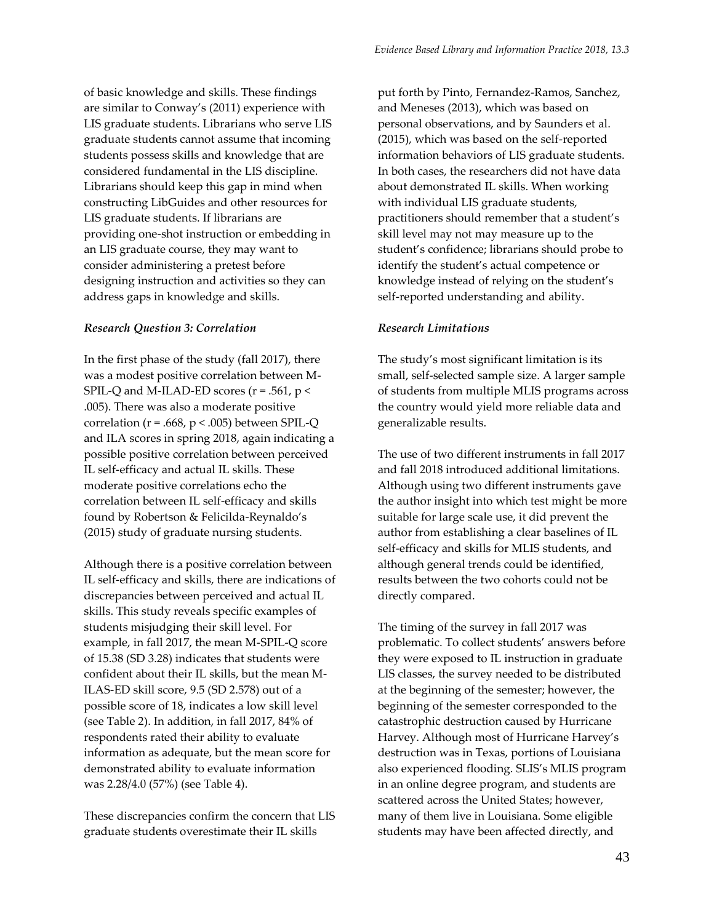of basic knowledge and skills. These findings are similar to Conway's (2011) experience with LIS graduate students. Librarians who serve LIS graduate students cannot assume that incoming students possess skills and knowledge that are considered fundamental in the LIS discipline. Librarians should keep this gap in mind when constructing LibGuides and other resources for LIS graduate students. If librarians are providing one-shot instruction or embedding in an LIS graduate course, they may want to consider administering a pretest before designing instruction and activities so they can address gaps in knowledge and skills.

#### *Research Question 3: Correlation*

In the first phase of the study (fall 2017), there was a modest positive correlation between M-SPIL-Q and M-ILAD-ED scores ( $r = .561$ ,  $p <$ .005). There was also a moderate positive correlation ( $r = .668$ ,  $p < .005$ ) between SPIL-Q and ILA scores in spring 2018, again indicating a possible positive correlation between perceived IL self-efficacy and actual IL skills. These moderate positive correlations echo the correlation between IL self-efficacy and skills found by Robertson & Felicilda-Reynaldo's (2015) study of graduate nursing students.

Although there is a positive correlation between IL self-efficacy and skills, there are indications of discrepancies between perceived and actual IL skills. This study reveals specific examples of students misjudging their skill level. For example, in fall 2017, the mean M-SPIL-Q score of 15.38 (SD 3.28) indicates that students were confident about their IL skills, but the mean M-ILAS-ED skill score, 9.5 (SD 2.578) out of a possible score of 18, indicates a low skill level (see Table 2). In addition, in fall 2017, 84% of respondents rated their ability to evaluate information as adequate, but the mean score for demonstrated ability to evaluate information was 2.28/4.0 (57%) (see Table 4).

These discrepancies confirm the concern that LIS graduate students overestimate their IL skills

put forth by Pinto, Fernandez-Ramos, Sanchez, and Meneses (2013), which was based on personal observations, and by Saunders et al. (2015), which was based on the self-reported information behaviors of LIS graduate students. In both cases, the researchers did not have data about demonstrated IL skills. When working with individual LIS graduate students, practitioners should remember that a student's skill level may not may measure up to the student's confidence; librarians should probe to identify the student's actual competence or knowledge instead of relying on the student's self-reported understanding and ability.

#### *Research Limitations*

The study's most significant limitation is its small, self-selected sample size. A larger sample of students from multiple MLIS programs across the country would yield more reliable data and generalizable results.

The use of two different instruments in fall 2017 and fall 2018 introduced additional limitations. Although using two different instruments gave the author insight into which test might be more suitable for large scale use, it did prevent the author from establishing a clear baselines of IL self-efficacy and skills for MLIS students, and although general trends could be identified, results between the two cohorts could not be directly compared.

The timing of the survey in fall 2017 was problematic. To collect students' answers before they were exposed to IL instruction in graduate LIS classes, the survey needed to be distributed at the beginning of the semester; however, the beginning of the semester corresponded to the catastrophic destruction caused by Hurricane Harvey. Although most of Hurricane Harvey's destruction was in Texas, portions of Louisiana also experienced flooding. SLIS's MLIS program in an online degree program, and students are scattered across the United States; however, many of them live in Louisiana. Some eligible students may have been affected directly, and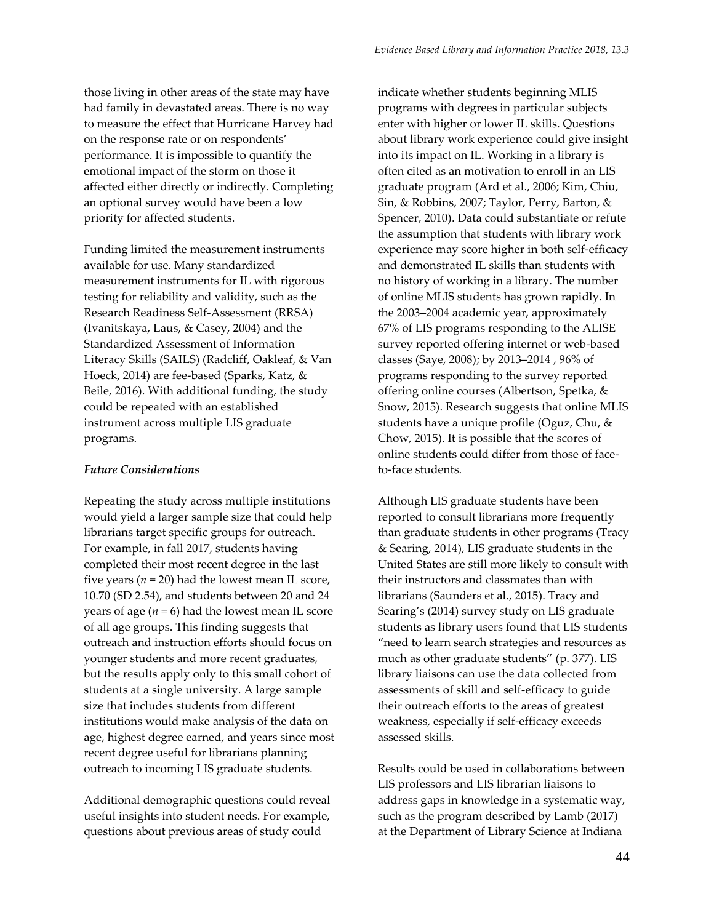those living in other areas of the state may have had family in devastated areas. There is no way to measure the effect that Hurricane Harvey had on the response rate or on respondents' performance. It is impossible to quantify the emotional impact of the storm on those it affected either directly or indirectly. Completing an optional survey would have been a low priority for affected students.

Funding limited the measurement instruments available for use. Many standardized measurement instruments for IL with rigorous testing for reliability and validity, such as the Research Readiness Self-Assessment (RRSA) (Ivanitskaya, Laus, & Casey, 2004) and the Standardized Assessment of Information Literacy Skills (SAILS) (Radcliff, Oakleaf, & Van Hoeck, 2014) are fee-based (Sparks, Katz, & Beile, 2016). With additional funding, the study could be repeated with an established instrument across multiple LIS graduate programs.

#### *Future Considerations*

Repeating the study across multiple institutions would yield a larger sample size that could help librarians target specific groups for outreach. For example, in fall 2017, students having completed their most recent degree in the last five years  $(n = 20)$  had the lowest mean IL score, 10.70 (SD 2.54), and students between 20 and 24 years of age  $(n = 6)$  had the lowest mean IL score of all age groups. This finding suggests that outreach and instruction efforts should focus on younger students and more recent graduates, but the results apply only to this small cohort of students at a single university. A large sample size that includes students from different institutions would make analysis of the data on age, highest degree earned, and years since most recent degree useful for librarians planning outreach to incoming LIS graduate students.

Additional demographic questions could reveal useful insights into student needs. For example, questions about previous areas of study could

indicate whether students beginning MLIS programs with degrees in particular subjects enter with higher or lower IL skills. Questions about library work experience could give insight into its impact on IL. Working in a library is often cited as an motivation to enroll in an LIS graduate program (Ard et al., 2006; Kim, Chiu, Sin, & Robbins, 2007; Taylor, Perry, Barton, & Spencer, 2010). Data could substantiate or refute the assumption that students with library work experience may score higher in both self-efficacy and demonstrated IL skills than students with no history of working in a library. The number of online MLIS students has grown rapidly. In the 2003–2004 academic year, approximately 67% of LIS programs responding to the ALISE survey reported offering internet or web-based classes (Saye, 2008); by 2013–2014 , 96% of programs responding to the survey reported offering online courses (Albertson, Spetka, & Snow, 2015). Research suggests that online MLIS students have a unique profile (Oguz, Chu, & Chow, 2015). It is possible that the scores of online students could differ from those of faceto-face students.

Although LIS graduate students have been reported to consult librarians more frequently than graduate students in other programs (Tracy & Searing, 2014), LIS graduate students in the United States are still more likely to consult with their instructors and classmates than with librarians (Saunders et al., 2015). Tracy and Searing's (2014) survey study on LIS graduate students as library users found that LIS students "need to learn search strategies and resources as much as other graduate students" (p. 377). LIS library liaisons can use the data collected from assessments of skill and self-efficacy to guide their outreach efforts to the areas of greatest weakness, especially if self-efficacy exceeds assessed skills.

Results could be used in collaborations between LIS professors and LIS librarian liaisons to address gaps in knowledge in a systematic way, such as the program described by Lamb (2017) at the Department of Library Science at Indiana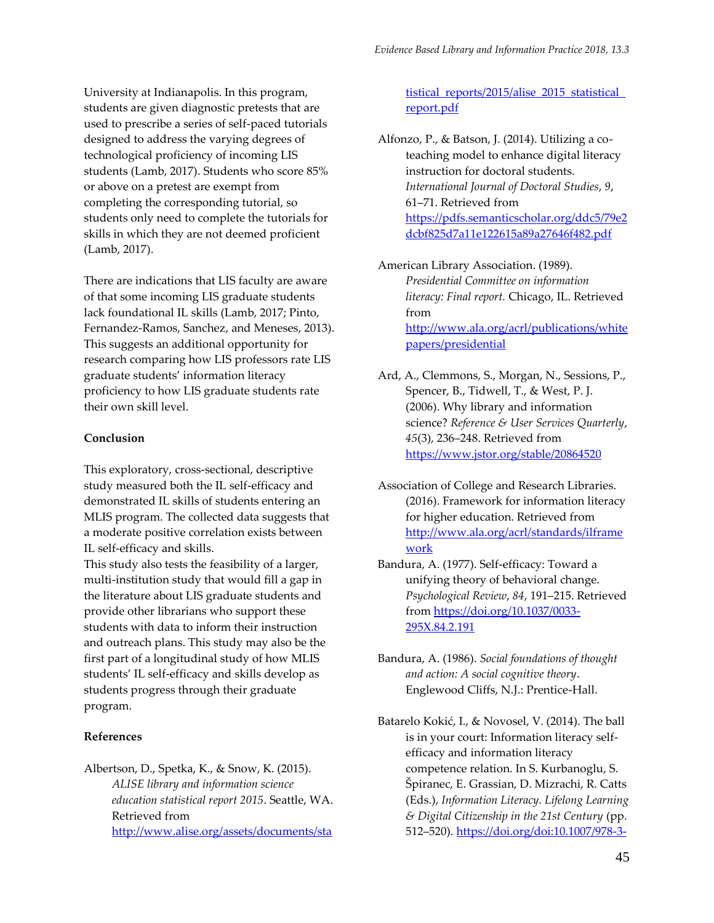University at Indianapolis. In this program, students are given diagnostic pretests that are used to prescribe a series of self-paced tutorials designed to address the varying degrees of technological proficiency of incoming LIS students (Lamb, 2017). Students who score 85% or above on a pretest are exempt from completing the corresponding tutorial, so students only need to complete the tutorials for skills in which they are not deemed proficient (Lamb, 2017).

There are indications that LIS faculty are aware of that some incoming LIS graduate students lack foundational IL skills (Lamb, 2017; Pinto, Fernandez-Ramos, Sanchez, and Meneses, 2013). This suggests an additional opportunity for research comparing how LIS professors rate LIS graduate students' information literacy proficiency to how LIS graduate students rate their own skill level.

## **Conclusion**

This exploratory, cross-sectional, descriptive study measured both the IL self-efficacy and demonstrated IL skills of students entering an MLIS program. The collected data suggests that a moderate positive correlation exists between IL self-efficacy and skills.

This study also tests the feasibility of a larger, multi-institution study that would fill a gap in the literature about LIS graduate students and provide other librarians who support these students with data to inform their instruction and outreach plans. This study may also be the first part of a longitudinal study of how MLIS students' IL self-efficacy and skills develop as students progress through their graduate program.

## **References**

Albertson, D., Spetka, K., & Snow, K. (2015). *ALISE library and information science education statistical report 2015*. Seattle, WA. Retrieved from [http://www.alise.org/assets/documents/sta](http://www.alise.org/assets/documents/statistical_reports/2015/alise_2015_statistical_report.pdf)

tistical reports/2015/alise 2015 statistical [report.pdf](http://www.alise.org/assets/documents/statistical_reports/2015/alise_2015_statistical_report.pdf)

Alfonzo, P., & Batson, J. (2014). Utilizing a coteaching model to enhance digital literacy instruction for doctoral students. *International Journal of Doctoral Studies*, *9*, 61–71. Retrieved from [https://pdfs.semanticscholar.org/ddc5/79e2](https://pdfs.semanticscholar.org/ddc5/79e2dcbf825d7a11e122615a89a27646f482.pdf) [dcbf825d7a11e122615a89a27646f482.pdf](https://pdfs.semanticscholar.org/ddc5/79e2dcbf825d7a11e122615a89a27646f482.pdf)

American Library Association. (1989). *Presidential Committee on information literacy: Final report.* Chicago, IL. Retrieved from [http://www.ala.org/acrl/publications/white](http://www.ala.org/acrl/publications/whitepapers/presidential) [papers/presidential](http://www.ala.org/acrl/publications/whitepapers/presidential)

- Ard, A., Clemmons, S., Morgan, N., Sessions, P., Spencer, B., Tidwell, T., & West, P. J. (2006). Why library and information science? *Reference & User Services Quarterly*, *45*(3), 236–248. Retrieved from <https://www.jstor.org/stable/20864520>
- Association of College and Research Libraries. (2016). Framework for information literacy for higher education. Retrieved from [http://www.ala.org/acrl/standards/ilframe](http://www.ala.org/acrl/standards/ilframework) [work](http://www.ala.org/acrl/standards/ilframework)
- Bandura, A. (1977). Self-efficacy: Toward a unifying theory of behavioral change. *Psychological Review*, *84*, 191–215. Retrieved from [https://doi.org/10.1037/0033-](https://doi.org/10.1037/0033-295X.84.2.191) [295X.84.2.191](https://doi.org/10.1037/0033-295X.84.2.191)
- Bandura, A. (1986). *Social foundations of thought and action: A social cognitive theory*. Englewood Cliffs, N.J.: Prentice-Hall.
- Batarelo Kokić, I., & Novosel, V. (2014). The ball is in your court: Information literacy selfefficacy and information literacy competence relation. In S. Kurbanoglu, S. Špiranec, E. Grassian, D. Mizrachi, R. Catts (Eds.), *Information Literacy. Lifelong Learning & Digital Citizenship in the 21st Century* (pp. 512–520). [https://doi.org/doi:10.1007/978-3-](https://doi.org/doi:10.1007/978-3-319-14136-7_54)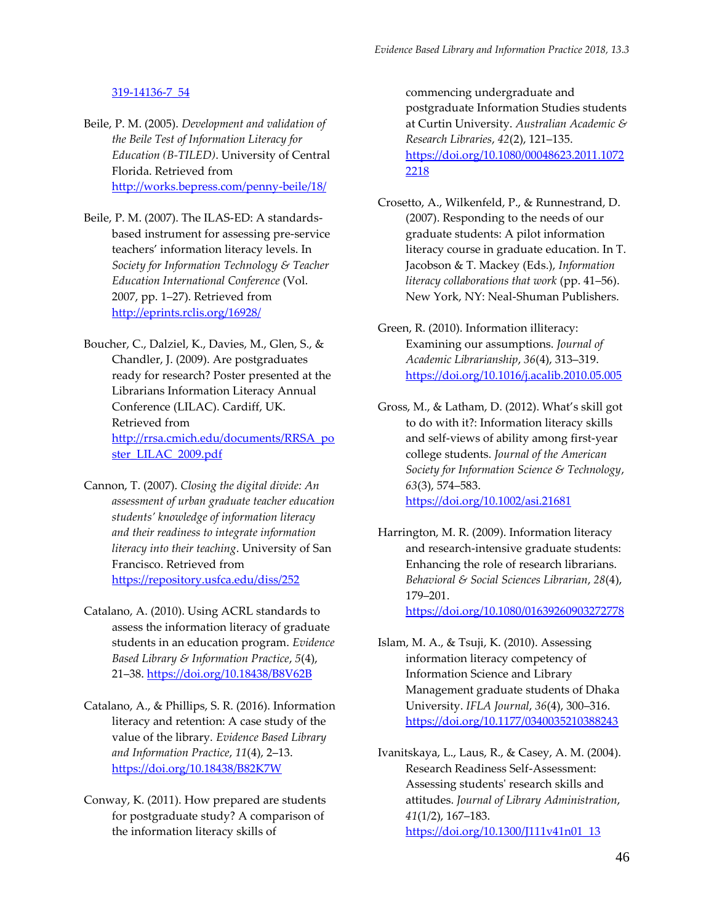## [319-14136-7\\_54](https://doi.org/doi:10.1007/978-3-319-14136-7_54)

- Beile, P. M. (2005). *Development and validation of the Beile Test of Information Literacy for Education (B-TILED)*. University of Central Florida. Retrieved from <http://works.bepress.com/penny-beile/18/>
- Beile, P. M. (2007). The ILAS-ED: A standardsbased instrument for assessing pre-service teachers' information literacy levels. In *Society for Information Technology & Teacher Education International Conference* (Vol. 2007, pp. 1–27). Retrieved from <http://eprints.rclis.org/16928/>
- Boucher, C., Dalziel, K., Davies, M., Glen, S., & Chandler, J. (2009). Are postgraduates ready for research? Poster presented at the Librarians Information Literacy Annual Conference (LILAC). Cardiff, UK. Retrieved from [http://rrsa.cmich.edu/documents/RRSA\\_po](http://rrsa.cmich.edu/documents/RRSA_poster_LILAC_2009.pdf) [ster\\_LILAC\\_2009.pdf](http://rrsa.cmich.edu/documents/RRSA_poster_LILAC_2009.pdf)
- Cannon, T. (2007). *Closing the digital divide: An assessment of urban graduate teacher education students' knowledge of information literacy and their readiness to integrate information literacy into their teaching*. University of San Francisco. Retrieved from <https://repository.usfca.edu/diss/252>
- Catalano, A. (2010). Using ACRL standards to assess the information literacy of graduate students in an education program. *Evidence Based Library & Information Practice*, *5*(4), 21–38.<https://doi.org/10.18438/B8V62B>
- Catalano, A., & Phillips, S. R. (2016). Information literacy and retention: A case study of the value of the library. *Evidence Based Library and Information Practice*, *11*(4), 2–13. <https://doi.org/10.18438/B82K7W>
- Conway, K. (2011). How prepared are students for postgraduate study? A comparison of the information literacy skills of

commencing undergraduate and postgraduate Information Studies students at Curtin University. *Australian Academic & Research Libraries*, *42*(2), 121–135. [https://doi.org/10.1080/00048623.2011.1072](https://doi.org/10.1080/00048623.2011.10722218) [2218](https://doi.org/10.1080/00048623.2011.10722218)

- Crosetto, A., Wilkenfeld, P., & Runnestrand, D. (2007). Responding to the needs of our graduate students: A pilot information literacy course in graduate education. In T. Jacobson & T. Mackey (Eds.), *Information literacy collaborations that work* (pp. 41–56). New York, NY: Neal-Shuman Publishers.
- Green, R. (2010). Information illiteracy: Examining our assumptions. *Journal of Academic Librarianship*, *36*(4), 313–319. <https://doi.org/10.1016/j.acalib.2010.05.005>
- Gross, M., & Latham, D. (2012). What's skill got to do with it?: Information literacy skills and self-views of ability among first-year college students. *Journal of the American Society for Information Science & Technology*, *63*(3), 574–583. <https://doi.org/10.1002/asi.21681>
- Harrington, M. R. (2009). Information literacy and research-intensive graduate students: Enhancing the role of research librarians. *Behavioral & Social Sciences Librarian*, *28*(4),

179–201.

<https://doi.org/10.1080/01639260903272778>

- Islam, M. A., & Tsuji, K. (2010). Assessing information literacy competency of Information Science and Library Management graduate students of Dhaka University. *IFLA Journal*, *36*(4), 300–316. <https://doi.org/10.1177/0340035210388243>
- Ivanitskaya, L., Laus, R., & Casey, A. M. (2004). Research Readiness Self-Assessment: Assessing students' research skills and attitudes. *Journal of Library Administration*, *41*(1/2), 167–183. [https://doi.org/10.1300/J111v41n01\\_13](https://doi.org/10.1300/J111v41n01_13)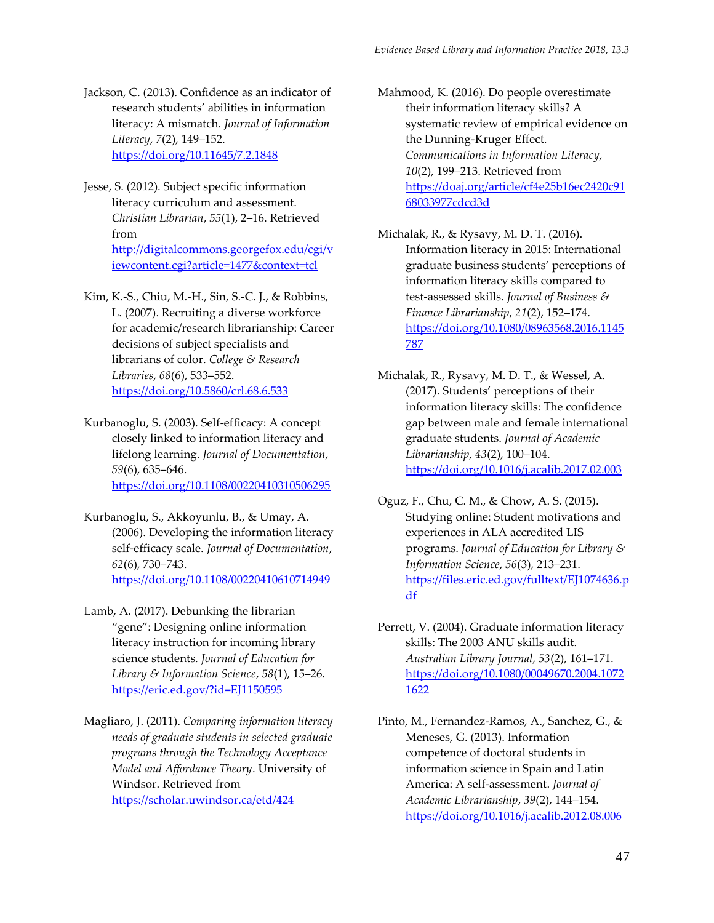- Jackson, C. (2013). Confidence as an indicator of research students' abilities in information literacy: A mismatch. *Journal of Information Literacy*, *7*(2), 149–152. <https://doi.org/10.11645/7.2.1848>
- Jesse, S. (2012). Subject specific information literacy curriculum and assessment. *Christian Librarian*, *55*(1), 2–16. Retrieved from [http://digitalcommons.georgefox.edu/cgi/v](http://digitalcommons.georgefox.edu/cgi/viewcontent.cgi?article=1477&context=tcl) [iewcontent.cgi?article=1477&context=tcl](http://digitalcommons.georgefox.edu/cgi/viewcontent.cgi?article=1477&context=tcl)
- Kim, K.-S., Chiu, M.-H., Sin, S.-C. J., & Robbins, L. (2007). Recruiting a diverse workforce for academic/research librarianship: Career decisions of subject specialists and librarians of color. *College & Research Libraries*, *68*(6), 533–552. <https://doi.org/10.5860/crl.68.6.533>
- Kurbanoglu, S. (2003). Self-efficacy: A concept closely linked to information literacy and lifelong learning. *Journal of Documentation*, *59*(6), 635–646. <https://doi.org/10.1108/00220410310506295>
- Kurbanoglu, S., Akkoyunlu, B., & Umay, A. (2006). Developing the information literacy self-efficacy scale. *Journal of Documentation*, *62*(6), 730–743. <https://doi.org/10.1108/00220410610714949>
- Lamb, A. (2017). Debunking the librarian "gene": Designing online information literacy instruction for incoming library science students. *Journal of Education for Library & Information Science*, *58*(1), 15–26. [https://eric.ed.gov/?id=EJ1150595](https://eric.ed.gov/?id=EJ1150595%20)
- Magliaro, J. (2011). *Comparing information literacy needs of graduate students in selected graduate programs through the Technology Acceptance Model and Affordance Theory*. University of Windsor. Retrieved from <https://scholar.uwindsor.ca/etd/424>

Mahmood, K. (2016). Do people overestimate their information literacy skills? A systematic review of empirical evidence on the Dunning-Kruger Effect. *Communications in Information Literacy*, *10*(2), 199–213. Retrieved from [https://doaj.org/article/cf4e25b16ec2420c91](https://doaj.org/article/cf4e25b16ec2420c9168033977cdcd3d) [68033977cdcd3d](https://doaj.org/article/cf4e25b16ec2420c9168033977cdcd3d)

- Michalak, R., & Rysavy, M. D. T. (2016). Information literacy in 2015: International graduate business students' perceptions of information literacy skills compared to test-assessed skills. *Journal of Business & Finance Librarianship*, *21*(2), 152–174. [https://doi.org/10.1080/08963568.2016.1145](https://doi.org/10.1080/08963568.2016.1145787) [787](https://doi.org/10.1080/08963568.2016.1145787)
- Michalak, R., Rysavy, M. D. T., & Wessel, A. (2017). Students' perceptions of their information literacy skills: The confidence gap between male and female international graduate students. *Journal of Academic Librarianship*, *43*(2), 100–104. <https://doi.org/10.1016/j.acalib.2017.02.003>
- Oguz, F., Chu, C. M., & Chow, A. S. (2015). Studying online: Student motivations and experiences in ALA accredited LIS programs. *Journal of Education for Library & Information Science*, *56*(3), 213–231. [https://files.eric.ed.gov/fulltext/EJ1074636.p](https://files.eric.ed.gov/fulltext/EJ1074636.pdf) [df](https://files.eric.ed.gov/fulltext/EJ1074636.pdf)
- Perrett, V. (2004). Graduate information literacy skills: The 2003 ANU skills audit. *Australian Library Journal*, *53*(2), 161–171. [https://doi.org/10.1080/00049670.2004.1072](https://doi.org/10.1080/00049670.2004.10721622) [1622](https://doi.org/10.1080/00049670.2004.10721622)
- Pinto, M., Fernandez-Ramos, A., Sanchez, G., & Meneses, G. (2013). Information competence of doctoral students in information science in Spain and Latin America: A self-assessment. *Journal of Academic Librarianship*, *39*(2), 144–154. <https://doi.org/10.1016/j.acalib.2012.08.006>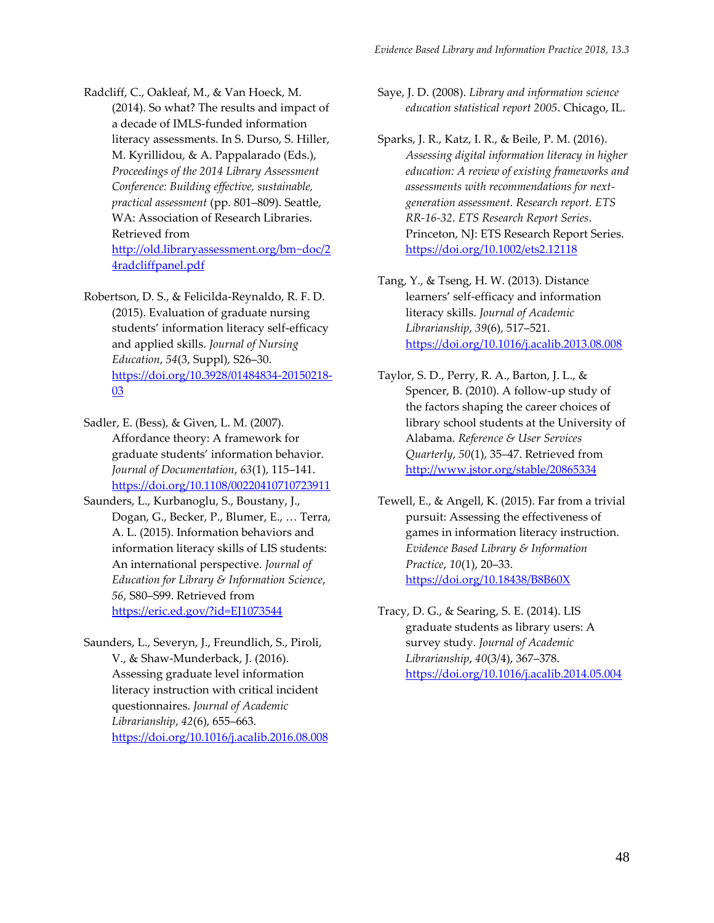Radcliff, C., Oakleaf, M., & Van Hoeck, M. (2014). So what? The results and impact of a decade of IMLS-funded information literacy assessments. In S. Durso, S. Hiller, M. Kyrillidou, & A. Pappalarado (Eds.), *Proceedings of the 2014 Library Assessment Conference: Building effective, sustainable, practical assessment* (pp. 801–809). Seattle, WA: Association of Research Libraries. Retrieved from [http://old.libraryassessment.org/bm~doc/2](http://old.libraryassessment.org/bm~doc/24radcliffpanel.pdf) [4radcliffpanel.pdf](http://old.libraryassessment.org/bm~doc/24radcliffpanel.pdf)

Robertson, D. S., & Felicilda-Reynaldo, R. F. D. (2015). Evaluation of graduate nursing students' information literacy self-efficacy and applied skills. *Journal of Nursing Education*, *54*(3, Suppl), S26–30. [https://doi.org/10.3928/01484834-20150218-](https://doi.org/10.3928/01484834-20150218-03) [03](https://doi.org/10.3928/01484834-20150218-03)

Sadler, E. (Bess), & Given, L. M. (2007). Affordance theory: A framework for graduate students' information behavior. *Journal of Documentation*, *63*(1), 115–141. <https://doi.org/10.1108/00220410710723911>

- Saunders, L., Kurbanoglu, S., Boustany, J., Dogan, G., Becker, P., Blumer, E., … Terra, A. L. (2015). Information behaviors and information literacy skills of LIS students: An international perspective. *Journal of Education for Library & Information Science*, *56*, S80–S99. Retrieved from <https://eric.ed.gov/?id=EJ1073544>
- Saunders, L., Severyn, J., Freundlich, S., Piroli, V., & Shaw-Munderback, J. (2016). Assessing graduate level information literacy instruction with critical incident questionnaires. *Journal of Academic Librarianship*, *42*(6), 655–663. <https://doi.org/10.1016/j.acalib.2016.08.008>

Saye, J. D. (2008). *Library and information science education statistical report 2005*. Chicago, IL.

- Sparks, J. R., Katz, I. R., & Beile, P. M. (2016). *Assessing digital information literacy in higher education: A review of existing frameworks and assessments with recommendations for nextgeneration assessment. Research report. ETS RR-16-32*. *ETS Research Report Series*. Princeton, NJ: ETS Research Report Series. <https://doi.org/10.1002/ets2.12118>
- Tang, Y., & Tseng, H. W. (2013). Distance learners' self-efficacy and information literacy skills. *Journal of Academic Librarianship*, *39*(6), 517–521. <https://doi.org/10.1016/j.acalib.2013.08.008>
- Taylor, S. D., Perry, R. A., Barton, J. L., & Spencer, B. (2010). A follow-up study of the factors shaping the career choices of library school students at the University of Alabama. *Reference & User Services Quarterly*, *50*(1), 35–47. Retrieved from <http://www.jstor.org/stable/20865334>
- Tewell, E., & Angell, K. (2015). Far from a trivial pursuit: Assessing the effectiveness of games in information literacy instruction. *Evidence Based Library & Information Practice*, *10*(1), 20–33. <https://doi.org/10.18438/B8B60X>

Tracy, D. G., & Searing, S. E. (2014). LIS graduate students as library users: A survey study. *Journal of Academic Librarianship*, *40*(3/4), 367–378. <https://doi.org/10.1016/j.acalib.2014.05.004>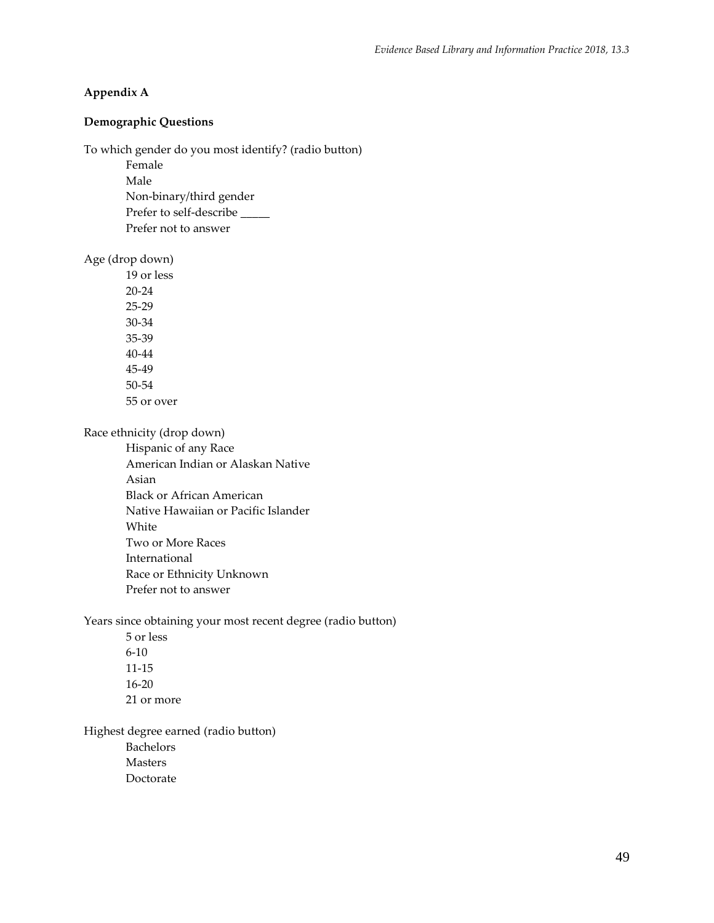# **Appendix A**

# **Demographic Questions**

To which gender do you most identify? (radio button)

Female

Male Non-binary/third gender Prefer to self-describe \_\_\_\_\_ Prefer not to answer

Age (drop down)

19 or less 20-24 25-29 30-34 35-39 40-44 45-49 50-54 55 or over

Race ethnicity (drop down)

Hispanic of any Race American Indian or Alaskan Native Asian Black or African American Native Hawaiian or Pacific Islander White Two or More Races International Race or Ethnicity Unknown Prefer not to answer

Years since obtaining your most recent degree (radio button)

5 or less 6-10 11-15 16-20 21 or more

Highest degree earned (radio button) Bachelors Masters Doctorate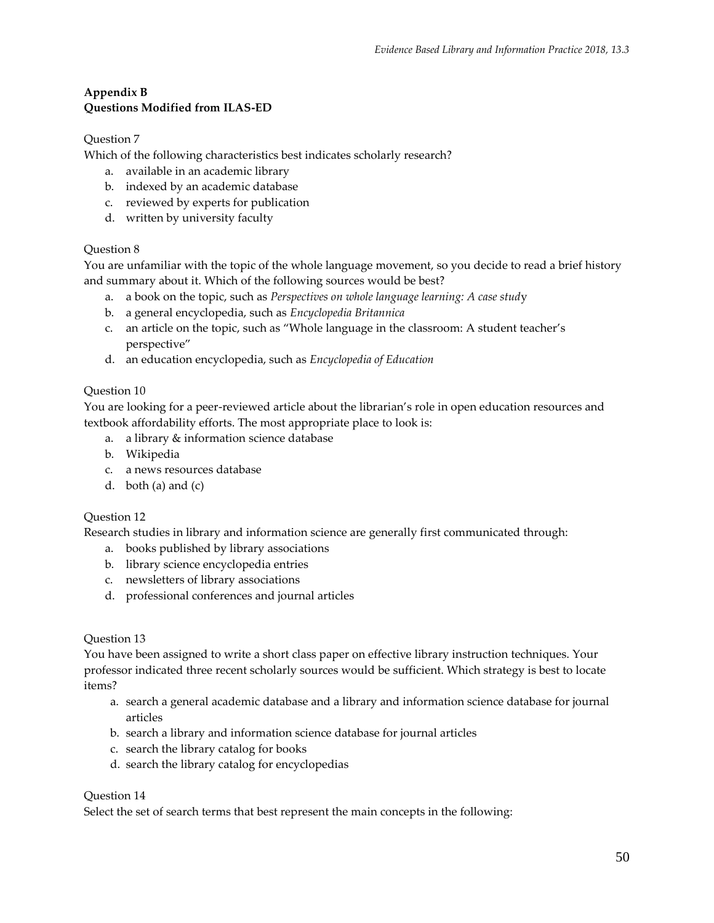# **Appendix B Questions Modified from ILAS-ED**

# Question 7

Which of the following characteristics best indicates scholarly research?

- a. available in an academic library
- b. indexed by an academic database
- c. reviewed by experts for publication
- d. written by university faculty

# Question 8

You are unfamiliar with the topic of the whole language movement, so you decide to read a brief history and summary about it. Which of the following sources would be best?

- a. a book on the topic, such as *Perspectives on whole language learning: A case stud*y
- b. a general encyclopedia, such as *Encyclopedia Britannica*
- c. an article on the topic, such as "Whole language in the classroom: A student teacher's perspective"
- d. an education encyclopedia, such as *Encyclopedia of Education*

# Question 10

You are looking for a peer-reviewed article about the librarian's role in open education resources and textbook affordability efforts. The most appropriate place to look is:

- a. a library & information science database
- b. Wikipedia
- c. a news resources database
- d. both (a) and (c)

## Question 12

Research studies in library and information science are generally first communicated through:

- a. books published by library associations
- b. library science encyclopedia entries
- c. newsletters of library associations
- d. professional conferences and journal articles

## Question 13

You have been assigned to write a short class paper on effective library instruction techniques. Your professor indicated three recent scholarly sources would be sufficient. Which strategy is best to locate items?

- a. search a general academic database and a library and information science database for journal articles
- b. search a library and information science database for journal articles
- c. search the library catalog for books
- d. search the library catalog for encyclopedias

## Question 14

Select the set of search terms that best represent the main concepts in the following: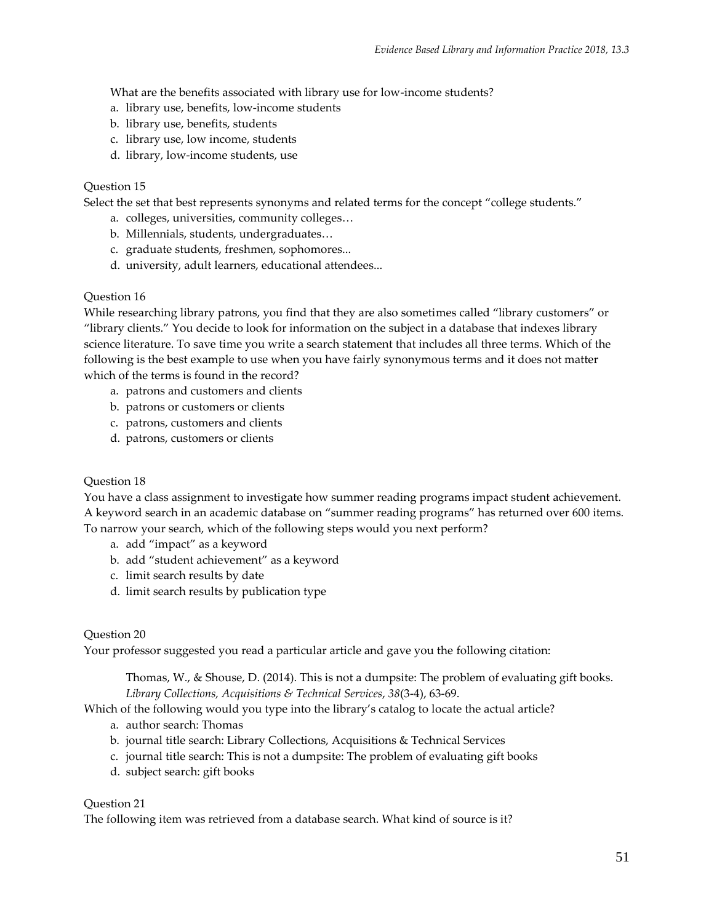What are the benefits associated with library use for low-income students?

- a. library use, benefits, low-income students
- b. library use, benefits, students
- c. library use, low income, students
- d. library, low-income students, use

## Question 15

Select the set that best represents synonyms and related terms for the concept "college students."

- a. colleges, universities, community colleges…
- b. Millennials, students, undergraduates…
- c. graduate students, freshmen, sophomores...
- d. university, adult learners, educational attendees...

# Question 16

While researching library patrons, you find that they are also sometimes called "library customers" or "library clients." You decide to look for information on the subject in a database that indexes library science literature. To save time you write a search statement that includes all three terms. Which of the following is the best example to use when you have fairly synonymous terms and it does not matter which of the terms is found in the record?

- a. patrons and customers and clients
- b. patrons or customers or clients
- c. patrons, customers and clients
- d. patrons, customers or clients

## Question 18

You have a class assignment to investigate how summer reading programs impact student achievement. A keyword search in an academic database on "summer reading programs" has returned over 600 items. To narrow your search, which of the following steps would you next perform?

- a. add "impact" as a keyword
- b. add "student achievement" as a keyword
- c. limit search results by date
- d. limit search results by publication type

## Question 20

Your professor suggested you read a particular article and gave you the following citation:

Thomas, W., & Shouse, D. (2014). This is not a dumpsite: The problem of evaluating gift books. *Library Collections, Acquisitions & Technical Services*, *38*(3-4), 63-69.

Which of the following would you type into the library's catalog to locate the actual article?

- a. author search: Thomas
- b. journal title search: Library Collections, Acquisitions & Technical Services
- c. journal title search: This is not a dumpsite: The problem of evaluating gift books
- d. subject search: gift books

## Question 21

The following item was retrieved from a database search. What kind of source is it?